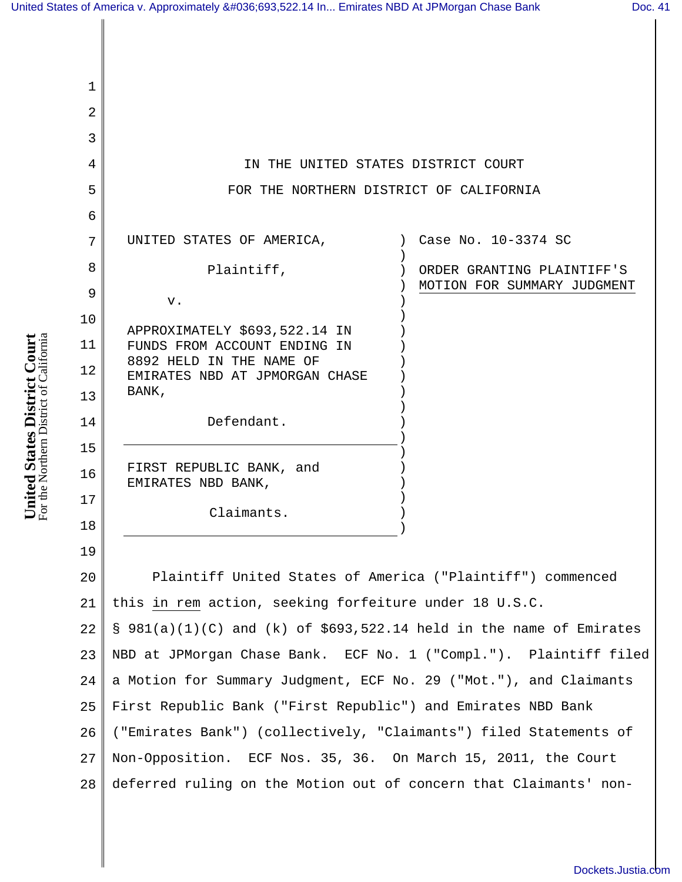| 1  |                                                                     |
|----|---------------------------------------------------------------------|
| 2  |                                                                     |
| 3  |                                                                     |
| 4  | IN THE UNITED STATES DISTRICT COURT                                 |
| 5  | FOR THE NORTHERN DISTRICT OF CALIFORNIA                             |
| 6  |                                                                     |
| 7  | Case No. 10-3374 SC<br>UNITED STATES OF AMERICA,                    |
| 8  | Plaintiff,<br>ORDER GRANTING PLAINTIFF'S                            |
| 9  | MOTION FOR SUMMARY JUDGMENT<br>v.                                   |
| 10 | APPROXIMATELY \$693,522.14 IN                                       |
| 11 | FUNDS FROM ACCOUNT ENDING IN                                        |
| 12 | 8892 HELD IN THE NAME OF<br>EMIRATES NBD AT JPMORGAN CHASE          |
| 13 | BANK,                                                               |
| 14 | Defendant.                                                          |
| 15 |                                                                     |
| 16 | FIRST REPUBLIC BANK, and<br>EMIRATES NBD BANK,                      |
| 17 |                                                                     |
| 18 | Claimants.                                                          |
| 19 |                                                                     |
| 20 | Plaintiff United States of America ("Plaintiff") commenced          |
| 21 | this in rem action, seeking forfeiture under 18 U.S.C.              |
| 22 | § 981(a)(1)(C) and (k) of \$693,522.14 held in the name of Emirates |
| 23 | NBD at JPMorgan Chase Bank. ECF No. 1 ("Compl."). Plaintiff filed   |
| 24 | a Motion for Summary Judgment, ECF No. 29 ("Mot."), and Claimants   |
| 25 | First Republic Bank ("First Republic") and Emirates NBD Bank        |
| 26 | ("Emirates Bank") (collectively, "Claimants") filed Statements of   |
| 27 | Non-Opposition. ECF Nos. 35, 36. On March 15, 2011, the Court       |
| 28 | deferred ruling on the Motion out of concern that Claimants' non-   |
|    |                                                                     |